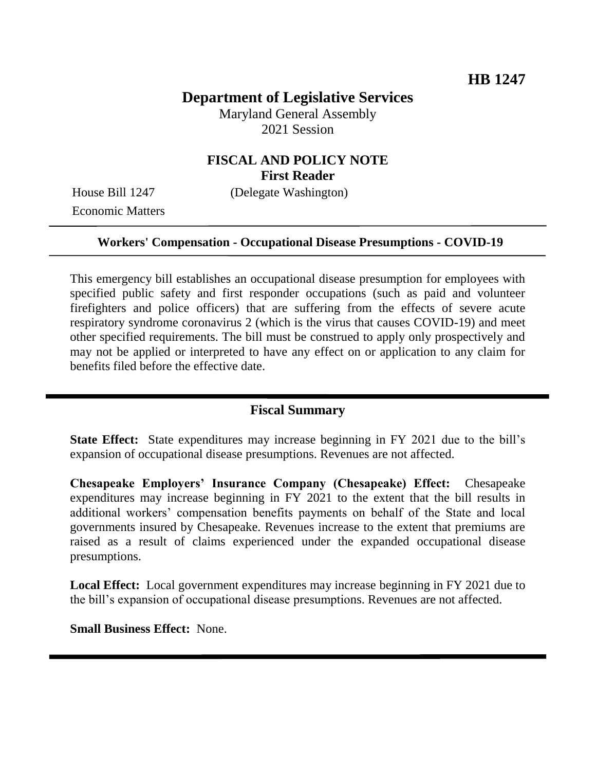# **Department of Legislative Services**

Maryland General Assembly 2021 Session

## **FISCAL AND POLICY NOTE First Reader**

Economic Matters

House Bill 1247 (Delegate Washington)

#### **Workers' Compensation - Occupational Disease Presumptions - COVID-19**

This emergency bill establishes an occupational disease presumption for employees with specified public safety and first responder occupations (such as paid and volunteer firefighters and police officers) that are suffering from the effects of severe acute respiratory syndrome coronavirus 2 (which is the virus that causes COVID-19) and meet other specified requirements. The bill must be construed to apply only prospectively and may not be applied or interpreted to have any effect on or application to any claim for benefits filed before the effective date.

#### **Fiscal Summary**

**State Effect:** State expenditures may increase beginning in FY 2021 due to the bill's expansion of occupational disease presumptions. Revenues are not affected.

**Chesapeake Employers' Insurance Company (Chesapeake) Effect:** Chesapeake expenditures may increase beginning in FY 2021 to the extent that the bill results in additional workers' compensation benefits payments on behalf of the State and local governments insured by Chesapeake. Revenues increase to the extent that premiums are raised as a result of claims experienced under the expanded occupational disease presumptions.

**Local Effect:** Local government expenditures may increase beginning in FY 2021 due to the bill's expansion of occupational disease presumptions. Revenues are not affected.

**Small Business Effect:** None.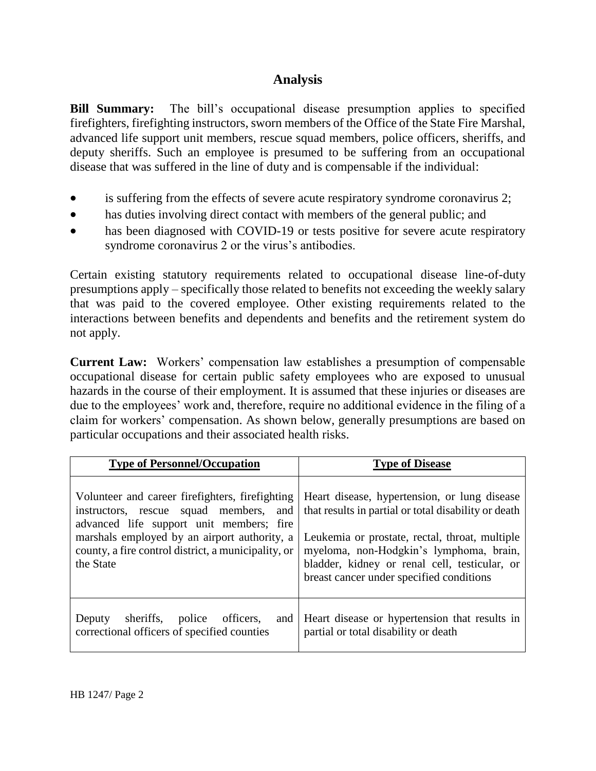## **Analysis**

**Bill Summary:** The bill's occupational disease presumption applies to specified firefighters, firefighting instructors, sworn members of the Office of the State Fire Marshal, advanced life support unit members, rescue squad members, police officers, sheriffs, and deputy sheriffs. Such an employee is presumed to be suffering from an occupational disease that was suffered in the line of duty and is compensable if the individual:

- is suffering from the effects of severe acute respiratory syndrome coronavirus 2;
- has duties involving direct contact with members of the general public; and
- has been diagnosed with COVID-19 or tests positive for severe acute respiratory syndrome coronavirus 2 or the virus's antibodies.

Certain existing statutory requirements related to occupational disease line-of-duty presumptions apply – specifically those related to benefits not exceeding the weekly salary that was paid to the covered employee. Other existing requirements related to the interactions between benefits and dependents and benefits and the retirement system do not apply.

**Current Law:** Workers' compensation law establishes a presumption of compensable occupational disease for certain public safety employees who are exposed to unusual hazards in the course of their employment. It is assumed that these injuries or diseases are due to the employees' work and, therefore, require no additional evidence in the filing of a claim for workers' compensation. As shown below, generally presumptions are based on particular occupations and their associated health risks.

| <b>Type of Personnel/Occupation</b>                                                                                                                                                                                                                       | <b>Type of Disease</b>                                                                                                                                                                                                                                                                         |
|-----------------------------------------------------------------------------------------------------------------------------------------------------------------------------------------------------------------------------------------------------------|------------------------------------------------------------------------------------------------------------------------------------------------------------------------------------------------------------------------------------------------------------------------------------------------|
| Volunteer and career firefighters, firefighting<br>instructors, rescue squad members, and<br>advanced life support unit members; fire<br>marshals employed by an airport authority, a<br>county, a fire control district, a municipality, or<br>the State | Heart disease, hypertension, or lung disease<br>that results in partial or total disability or death<br>Leukemia or prostate, rectal, throat, multiple<br>myeloma, non-Hodgkin's lymphoma, brain,<br>bladder, kidney or renal cell, testicular, or<br>breast cancer under specified conditions |
| sheriffs.<br>police<br>Deputy<br>officers.<br>and<br>correctional officers of specified counties                                                                                                                                                          | Heart disease or hypertension that results in<br>partial or total disability or death                                                                                                                                                                                                          |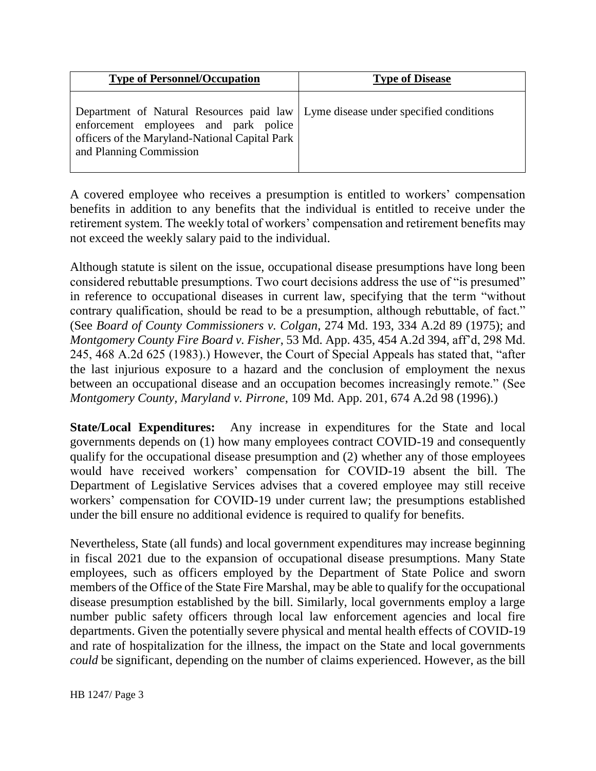| <b>Type of Personnel/Occupation</b>                                                                                                                                                                      | <b>Type of Disease</b> |
|----------------------------------------------------------------------------------------------------------------------------------------------------------------------------------------------------------|------------------------|
| Department of Natural Resources paid law   Lyme disease under specified conditions<br>enforcement employees and park police<br>officers of the Maryland-National Capital Park<br>and Planning Commission |                        |

A covered employee who receives a presumption is entitled to workers' compensation benefits in addition to any benefits that the individual is entitled to receive under the retirement system. The weekly total of workers' compensation and retirement benefits may not exceed the weekly salary paid to the individual.

Although statute is silent on the issue, occupational disease presumptions have long been considered rebuttable presumptions. Two court decisions address the use of "is presumed" in reference to occupational diseases in current law, specifying that the term "without contrary qualification, should be read to be a presumption, although rebuttable, of fact." (See *Board of County Commissioners v. Colgan*, 274 Md. 193, 334 A.2d 89 (1975); and *Montgomery County Fire Board v. Fisher*, 53 Md. App. 435, 454 A.2d 394, aff'd, 298 Md. 245, 468 A.2d 625 (1983).) However, the Court of Special Appeals has stated that, "after the last injurious exposure to a hazard and the conclusion of employment the nexus between an occupational disease and an occupation becomes increasingly remote." (See *Montgomery County, Maryland v. Pirrone*, 109 Md. App. 201, 674 A.2d 98 (1996).)

**State/Local Expenditures:** Any increase in expenditures for the State and local governments depends on (1) how many employees contract COVID-19 and consequently qualify for the occupational disease presumption and (2) whether any of those employees would have received workers' compensation for COVID-19 absent the bill. The Department of Legislative Services advises that a covered employee may still receive workers' compensation for COVID-19 under current law; the presumptions established under the bill ensure no additional evidence is required to qualify for benefits.

Nevertheless, State (all funds) and local government expenditures may increase beginning in fiscal 2021 due to the expansion of occupational disease presumptions. Many State employees, such as officers employed by the Department of State Police and sworn members of the Office of the State Fire Marshal, may be able to qualify for the occupational disease presumption established by the bill. Similarly, local governments employ a large number public safety officers through local law enforcement agencies and local fire departments. Given the potentially severe physical and mental health effects of COVID-19 and rate of hospitalization for the illness, the impact on the State and local governments *could* be significant, depending on the number of claims experienced. However, as the bill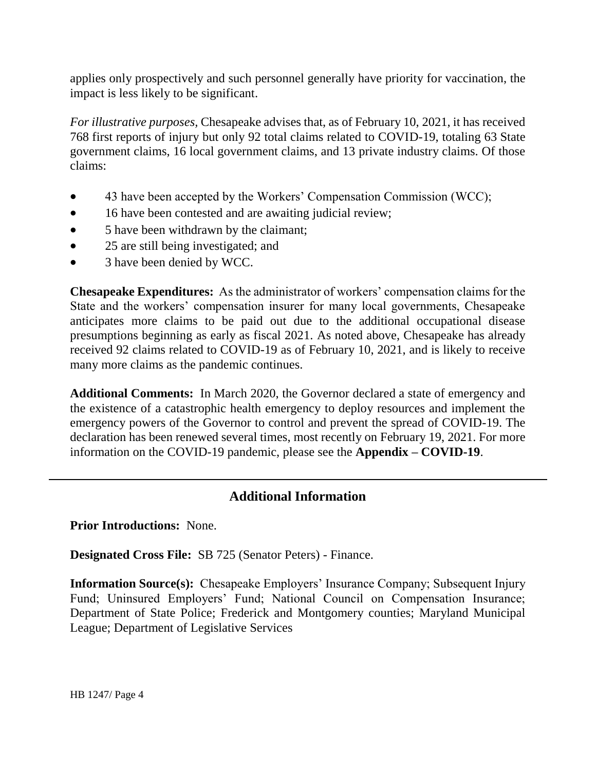applies only prospectively and such personnel generally have priority for vaccination, the impact is less likely to be significant.

*For illustrative purposes,* Chesapeake advises that, as of February 10, 2021, it has received 768 first reports of injury but only 92 total claims related to COVID-19, totaling 63 State government claims, 16 local government claims, and 13 private industry claims. Of those claims:

- 43 have been accepted by the Workers' Compensation Commission (WCC);
- 16 have been contested and are awaiting judicial review;
- 5 have been withdrawn by the claimant;
- 25 are still being investigated; and
- 3 have been denied by WCC.

**Chesapeake Expenditures:** As the administrator of workers' compensation claims for the State and the workers' compensation insurer for many local governments, Chesapeake anticipates more claims to be paid out due to the additional occupational disease presumptions beginning as early as fiscal 2021. As noted above, Chesapeake has already received 92 claims related to COVID-19 as of February 10, 2021, and is likely to receive many more claims as the pandemic continues.

**Additional Comments:** In March 2020, the Governor declared a state of emergency and the existence of a catastrophic health emergency to deploy resources and implement the emergency powers of the Governor to control and prevent the spread of COVID-19. The declaration has been renewed several times, most recently on February 19, 2021. For more information on the COVID-19 pandemic, please see the **Appendix – COVID-19**.

## **Additional Information**

**Prior Introductions:** None.

**Designated Cross File:** SB 725 (Senator Peters) - Finance.

**Information Source(s):** Chesapeake Employers' Insurance Company; Subsequent Injury Fund; Uninsured Employers' Fund; National Council on Compensation Insurance; Department of State Police; Frederick and Montgomery counties; Maryland Municipal League; Department of Legislative Services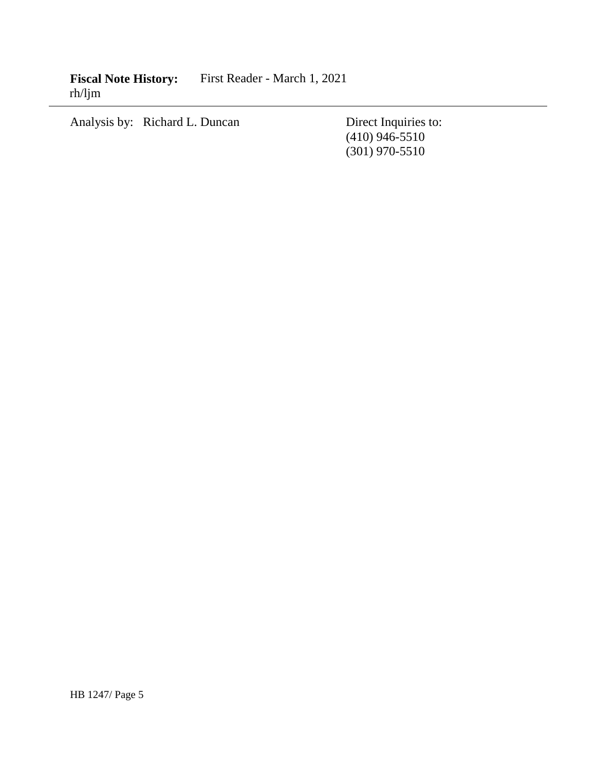**Fiscal Note History:** First Reader - March 1, 2021 rh/ljm

Analysis by: Richard L. Duncan Direct Inquiries to:

(410) 946-5510 (301) 970-5510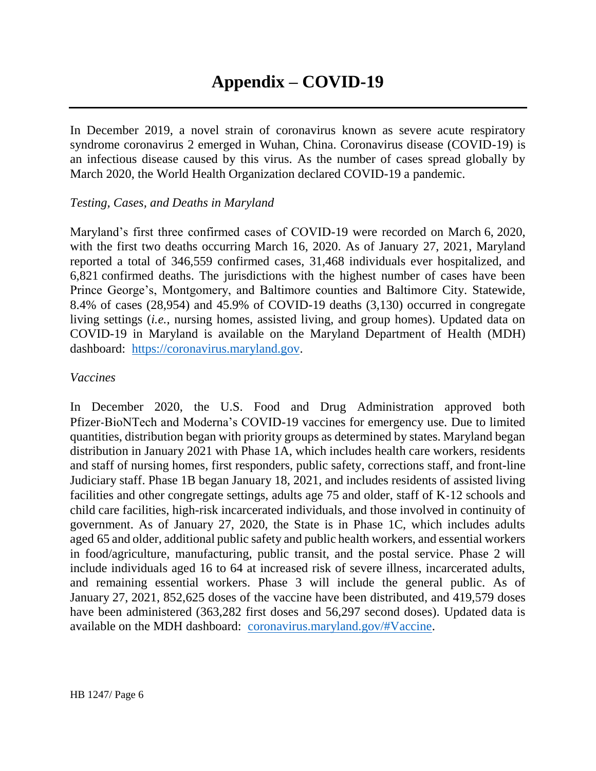In December 2019, a novel strain of coronavirus known as severe acute respiratory syndrome coronavirus 2 emerged in Wuhan, China. Coronavirus disease (COVID-19) is an infectious disease caused by this virus. As the number of cases spread globally by March 2020, the World Health Organization declared COVID-19 a pandemic.

#### *Testing, Cases, and Deaths in Maryland*

Maryland's first three confirmed cases of COVID-19 were recorded on March 6, 2020, with the first two deaths occurring March 16, 2020. As of January 27, 2021, Maryland reported a total of 346,559 confirmed cases, 31,468 individuals ever hospitalized, and 6,821 confirmed deaths. The jurisdictions with the highest number of cases have been Prince George's, Montgomery, and Baltimore counties and Baltimore City. Statewide, 8.4% of cases (28,954) and 45.9% of COVID-19 deaths (3,130) occurred in congregate living settings (*i.e.*, nursing homes, assisted living, and group homes). Updated data on COVID-19 in Maryland is available on the Maryland Department of Health (MDH) dashboard: [https://coronavirus.maryland.gov.](https://coronavirus.maryland.gov/)

#### *Vaccines*

In December 2020, the U.S. Food and Drug Administration approved both Pfizer-BioNTech and Moderna's COVID-19 vaccines for emergency use. Due to limited quantities, distribution began with priority groups as determined by states. Maryland began distribution in January 2021 with Phase 1A, which includes health care workers, residents and staff of nursing homes, first responders, public safety, corrections staff, and front-line Judiciary staff. Phase 1B began January 18, 2021, and includes residents of assisted living facilities and other congregate settings, adults age 75 and older, staff of K-12 schools and child care facilities, high-risk incarcerated individuals, and those involved in continuity of government. As of January 27, 2020, the State is in Phase 1C, which includes adults aged 65 and older, additional public safety and public health workers, and essential workers in food/agriculture, manufacturing, public transit, and the postal service. Phase 2 will include individuals aged 16 to 64 at increased risk of severe illness, incarcerated adults, and remaining essential workers. Phase 3 will include the general public. As of January 27, 2021, 852,625 doses of the vaccine have been distributed, and 419,579 doses have been administered (363,282 first doses and 56,297 second doses). Updated data is available on the MDH dashboard: [coronavirus.maryland.gov/#Vaccine.](https://coronavirus.maryland.gov/#Vaccine)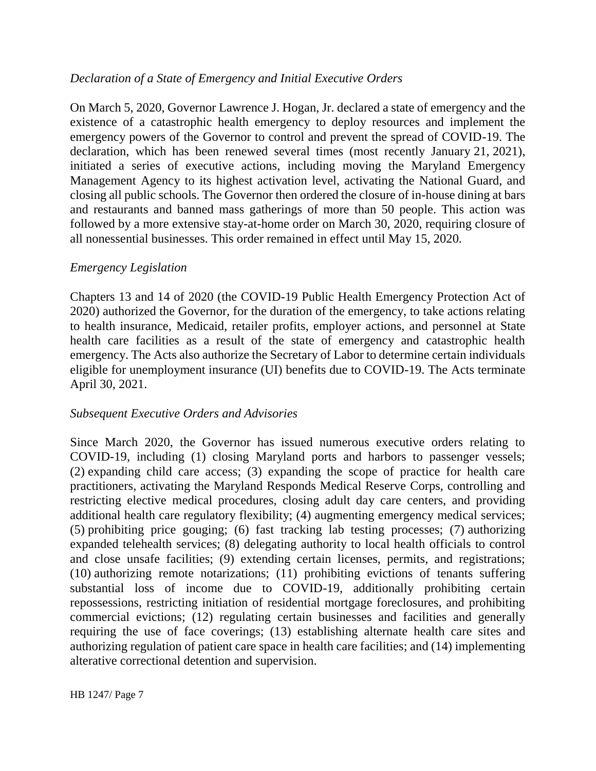## *Declaration of a State of Emergency and Initial Executive Orders*

On March 5, 2020, Governor Lawrence J. Hogan, Jr. declared a state of emergency and the existence of a catastrophic health emergency to deploy resources and implement the emergency powers of the Governor to control and prevent the spread of COVID-19. The declaration, which has been renewed several times (most recently January 21, 2021), initiated a series of executive actions, including moving the Maryland Emergency Management Agency to its highest activation level, activating the National Guard, and closing all public schools. The Governor then ordered the closure of in-house dining at bars and restaurants and banned mass gatherings of more than 50 people. This action was followed by a more extensive stay-at-home order on March 30, 2020, requiring closure of all nonessential businesses. This order remained in effect until May 15, 2020.

## *Emergency Legislation*

Chapters 13 and 14 of 2020 (the COVID-19 Public Health Emergency Protection Act of 2020) authorized the Governor, for the duration of the emergency, to take actions relating to health insurance, Medicaid, retailer profits, employer actions, and personnel at State health care facilities as a result of the state of emergency and catastrophic health emergency. The Acts also authorize the Secretary of Labor to determine certain individuals eligible for unemployment insurance (UI) benefits due to COVID-19. The Acts terminate April 30, 2021.

## *Subsequent Executive Orders and Advisories*

Since March 2020, the Governor has issued numerous executive orders relating to COVID-19, including (1) closing Maryland ports and harbors to passenger vessels; (2) expanding child care access; (3) expanding the scope of practice for health care practitioners, activating the Maryland Responds Medical Reserve Corps, controlling and restricting elective medical procedures, closing adult day care centers, and providing additional health care regulatory flexibility; (4) augmenting emergency medical services; (5) prohibiting price gouging; (6) fast tracking lab testing processes; (7) authorizing expanded telehealth services; (8) delegating authority to local health officials to control and close unsafe facilities; (9) extending certain licenses, permits, and registrations; (10) authorizing remote notarizations; (11) prohibiting evictions of tenants suffering substantial loss of income due to COVID-19, additionally prohibiting certain repossessions, restricting initiation of residential mortgage foreclosures, and prohibiting commercial evictions; (12) regulating certain businesses and facilities and generally requiring the use of face coverings; (13) establishing alternate health care sites and authorizing regulation of patient care space in health care facilities; and (14) implementing alterative correctional detention and supervision.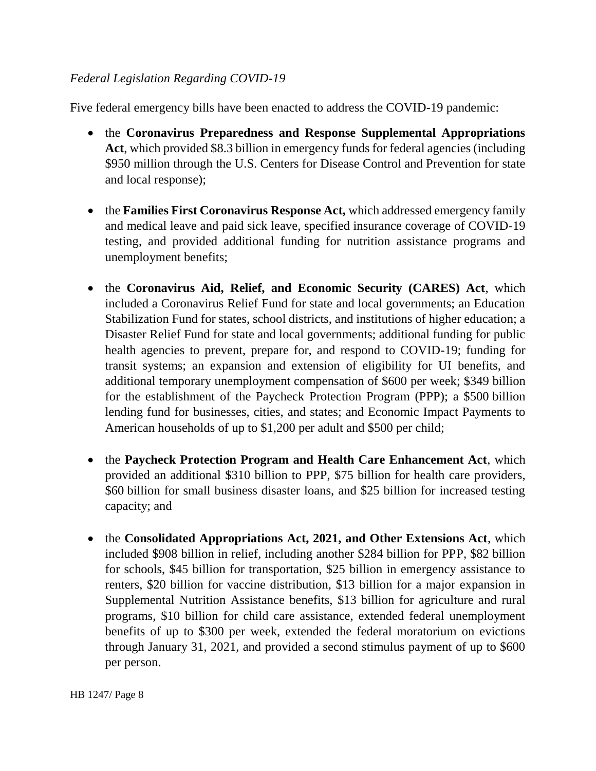## *Federal Legislation Regarding COVID-19*

Five federal emergency bills have been enacted to address the COVID-19 pandemic:

- the **Coronavirus Preparedness and Response Supplemental Appropriations Act**, which provided \$8.3 billion in emergency funds for federal agencies (including \$950 million through the U.S. Centers for Disease Control and Prevention for state and local response);
- the **Families First Coronavirus Response Act,** which addressed emergency family and medical leave and paid sick leave, specified insurance coverage of COVID-19 testing, and provided additional funding for nutrition assistance programs and unemployment benefits;
- the **Coronavirus Aid, Relief, and Economic Security (CARES) Act**, which included a Coronavirus Relief Fund for state and local governments; an Education Stabilization Fund for states, school districts, and institutions of higher education; a Disaster Relief Fund for state and local governments; additional funding for public health agencies to prevent, prepare for, and respond to COVID-19; funding for transit systems; an expansion and extension of eligibility for UI benefits, and additional temporary unemployment compensation of \$600 per week; \$349 billion for the establishment of the Paycheck Protection Program (PPP); a \$500 billion lending fund for businesses, cities, and states; and Economic Impact Payments to American households of up to \$1,200 per adult and \$500 per child;
- the **Paycheck Protection Program and Health Care Enhancement Act**, which provided an additional \$310 billion to PPP, \$75 billion for health care providers, \$60 billion for small business disaster loans, and \$25 billion for increased testing capacity; and
- the **Consolidated Appropriations Act, 2021, and Other Extensions Act**, which included \$908 billion in relief, including another \$284 billion for PPP, \$82 billion for schools, \$45 billion for transportation, \$25 billion in emergency assistance to renters, \$20 billion for vaccine distribution, \$13 billion for a major expansion in Supplemental Nutrition Assistance benefits, \$13 billion for agriculture and rural programs, \$10 billion for child care assistance, extended federal unemployment benefits of up to \$300 per week, extended the federal moratorium on evictions through January 31, 2021, and provided a second stimulus payment of up to \$600 per person.